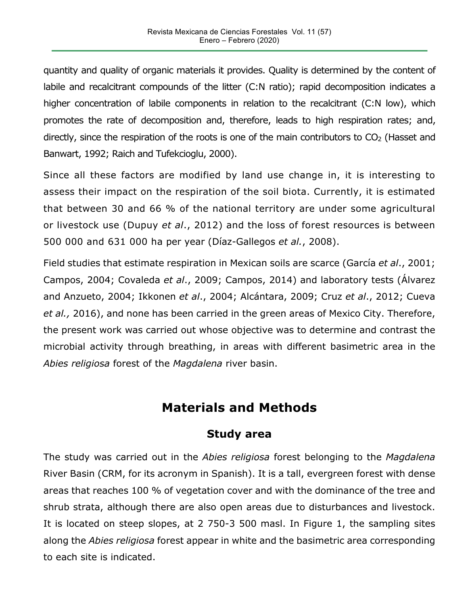quantity and quality of organic materials it provides. Quality is determined by the content of labile and recalcitrant compounds of the litter (C:N ratio); rapid decomposition indicates a higher concentration of labile components in relation to the recalcitrant (C:N low), which promotes the rate of decomposition and, therefore, leads to high respiration rates; and, directly, since the respiration of the roots is one of the main contributors to  $CO<sub>2</sub>$  (Hasset and Banwart, 1992; Raich and Tufekcioglu, 2000).

Since all these factors are modified by land use change in, it is interesting to assess their impact on the respiration of the soil biota. Currently, it is estimated that between 30 and 66 % of the national territory are under some agricultural or livestock use (Dupuy *et al*., 2012) and the loss of forest resources is between 500 000 and 631 000 ha per year (Díaz-Gallegos *et al.*, 2008).

Field studies that estimate respiration in Mexican soils are scarce (García *et al*., 2001; Campos, 2004; Covaleda *et al*., 2009; Campos, 2014) and laboratory tests (Álvarez and Anzueto, 2004; Ikkonen *et al*., 2004; Alcántara, 2009; Cruz *et al*., 2012; Cueva *et al.,* 2016), and none has been carried in the green areas of Mexico City. Therefore, the present work was carried out whose objective was to determine and contrast the microbial activity through breathing, in areas with different basimetric area in the *Abies religiosa* forest of the *Magdalena* river basin.

## **Materials and Methods**

## **Study area**

The study was carried out in the *Abies religiosa* forest belonging to the *Magdalena* River Basin (CRM, for its acronym in Spanish). It is a tall, evergreen forest with dense areas that reaches 100 % of vegetation cover and with the dominance of the tree and shrub strata, although there are also open areas due to disturbances and livestock. It is located on steep slopes, at 2 750-3 500 masl. In Figure 1, the sampling sites along the *Abies religiosa* forest appear in white and the basimetric area corresponding to each site is indicated.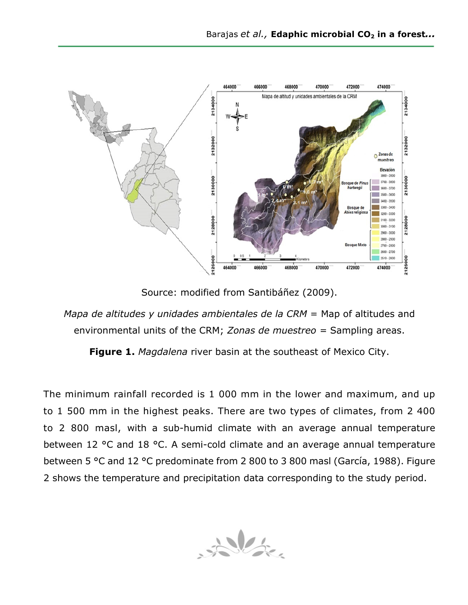

Source: modified from Santibáñez (2009).

*Mapa de altitudes y unidades ambientales de la CRM* = Map of altitudes and environmental units of the CRM; *Zonas de muestreo =* Sampling areas.

**Figure 1.** *Magdalena* river basin at the southeast of Mexico City.

The minimum rainfall recorded is 1 000 mm in the lower and maximum, and up to 1 500 mm in the highest peaks. There are two types of climates, from 2 400 to 2 800 masl, with a sub-humid climate with an average annual temperature between 12 °C and 18 °C. A semi-cold climate and an average annual temperature between 5 °C and 12 °C predominate from 2 800 to 3 800 masl (García, 1988). Figure 2 shows the temperature and precipitation data corresponding to the study period.

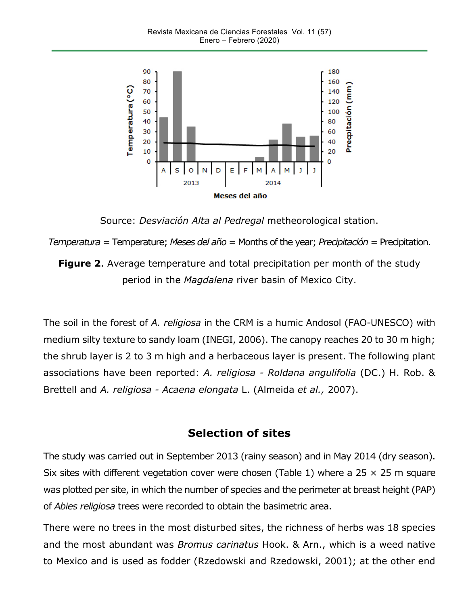

Source: *Desviación Alta al Pedregal* metheorological station.

*Temperatura =* Temperature; *Meses del año* = Months of the year; *Precipitación* = Precipitation.

**Figure 2**. Average temperature and total precipitation per month of the study period in the *Magdalena* river basin of Mexico City.

The soil in the forest of *A. religiosa* in the CRM is a humic Andosol (FAO-UNESCO) with medium silty texture to sandy loam (INEGI, 2006). The canopy reaches 20 to 30 m high; the shrub layer is 2 to 3 m high and a herbaceous layer is present. The following plant associations have been reported: *A. religiosa - Roldana angulifolia* (DC.) H. Rob. & Brettell and *A. religiosa - Acaena elongata* L. (Almeida *et al.,* 2007).

## **Selection of sites**

The study was carried out in September 2013 (rainy season) and in May 2014 (dry season). Six sites with different vegetation cover were chosen (Table 1) where a 25  $\times$  25 m square was plotted per site, in which the number of species and the perimeter at breast height (PAP) of *Abies religiosa* trees were recorded to obtain the basimetric area.

There were no trees in the most disturbed sites, the richness of herbs was 18 species and the most abundant was *Bromus carinatus* Hook. & Arn., which is a weed native to Mexico and is used as fodder (Rzedowski and Rzedowski, 2001); at the other end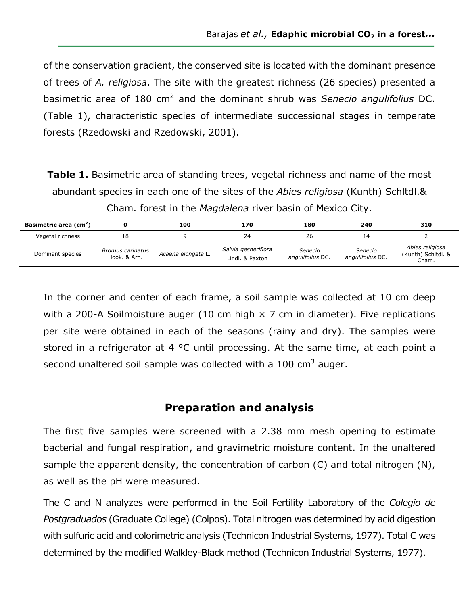of the conservation gradient, the conserved site is located with the dominant presence of trees of *A. religiosa*. The site with the greatest richness (26 species) presented a basimetric area of 180 cm<sup>2</sup> and the dominant shrub was *Senecio angulifolius* DC. (Table 1), characteristic species of intermediate successional stages in temperate forests (Rzedowski and Rzedowski, 2001).

**Table 1.** Basimetric area of standing trees, vegetal richness and name of the most abundant species in each one of the sites of the *Abies religiosa* (Kunth) Schltdl.& Cham. forest in the *Magdalena* river basin of Mexico City.

| Basimetric area (cm <sup>2</sup> ) |                                  | 100                | 170                                    | 180                         | 240                         | 310                                            |
|------------------------------------|----------------------------------|--------------------|----------------------------------------|-----------------------------|-----------------------------|------------------------------------------------|
| Vegetal richness                   | 18                               |                    | 24                                     | 26                          |                             |                                                |
| Dominant species                   | Bromus carinatus<br>Hook. & Arn. | Acaena elongata L. | Salvia gesneriflora<br>Lindl. & Paxton | Senecio<br>angulifolius DC. | Senecio<br>angulifolius DC. | Abies religiosa<br>(Kunth) Schitdl. &<br>Cham. |

In the corner and center of each frame, a soil sample was collected at 10 cm deep with a 200-A Soilmoisture auger (10 cm high  $\times$  7 cm in diameter). Five replications per site were obtained in each of the seasons (rainy and dry). The samples were stored in a refrigerator at 4 °C until processing. At the same time, at each point a second unaltered soil sample was collected with a  $100 \text{ cm}^3$  auger.

### **Preparation and analysis**

The first five samples were screened with a 2.38 mm mesh opening to estimate bacterial and fungal respiration, and gravimetric moisture content. In the unaltered sample the apparent density, the concentration of carbon (C) and total nitrogen (N), as well as the pH were measured.

The C and N analyzes were performed in the Soil Fertility Laboratory of the *Colegio de Postgraduados* (Graduate College) (Colpos). Total nitrogen was determined by acid digestion with sulfuric acid and colorimetric analysis (Technicon Industrial Systems, 1977). Total C was determined by the modified Walkley-Black method (Technicon Industrial Systems, 1977).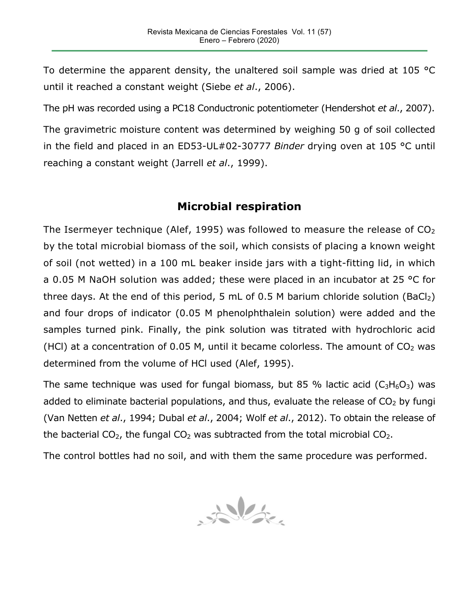To determine the apparent density, the unaltered soil sample was dried at 105 °C until it reached a constant weight (Siebe *et al*., 2006).

The pH was recorded using a PC18 Conductronic potentiometer (Hendershot *et al*., 2007).

The gravimetric moisture content was determined by weighing 50 g of soil collected in the field and placed in an ED53-UL#02-30777 *Binder* drying oven at 105 °C until reaching a constant weight (Jarrell *et al*., 1999).

## **Microbial respiration**

The Isermeyer technique (Alef, 1995) was followed to measure the release of  $CO<sub>2</sub>$ by the total microbial biomass of the soil, which consists of placing a known weight of soil (not wetted) in a 100 mL beaker inside jars with a tight-fitting lid, in which a 0.05 M NaOH solution was added; these were placed in an incubator at 25 °C for three days. At the end of this period, 5 mL of 0.5 M barium chloride solution (BaCl<sub>2</sub>) and four drops of indicator (0.05 M phenolphthalein solution) were added and the samples turned pink. Finally, the pink solution was titrated with hydrochloric acid (HCl) at a concentration of 0.05 M, until it became colorless. The amount of  $CO<sub>2</sub>$  was determined from the volume of HCl used (Alef, 1995).

The same technique was used for fungal biomass, but 85 % lactic acid  $(C_3H_6O_3)$  was added to eliminate bacterial populations, and thus, evaluate the release of  $CO<sub>2</sub>$  by fungi (Van Netten *et al*., 1994; Dubal *et al*., 2004; Wolf *et al*., 2012). To obtain the release of the bacterial  $CO<sub>2</sub>$ , the fungal  $CO<sub>2</sub>$  was subtracted from the total microbial  $CO<sub>2</sub>$ .

The control bottles had no soil, and with them the same procedure was performed.

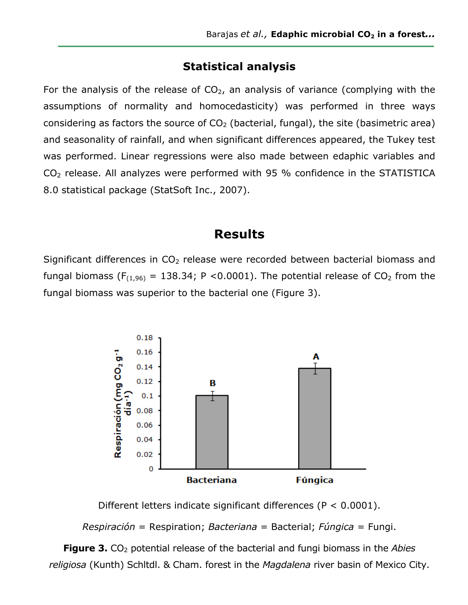### **Statistical analysis**

For the analysis of the release of  $CO<sub>2</sub>$ , an analysis of variance (complying with the assumptions of normality and homocedasticity) was performed in three ways considering as factors the source of  $CO<sub>2</sub>$  (bacterial, fungal), the site (basimetric area) and seasonality of rainfall, and when significant differences appeared, the Tukey test was performed. Linear regressions were also made between edaphic variables and  $CO<sub>2</sub>$  release. All analyzes were performed with 95 % confidence in the STATISTICA 8.0 statistical package (StatSoft Inc., 2007).

## **Results**

Significant differences in  $CO<sub>2</sub>$  release were recorded between bacterial biomass and fungal biomass ( $F_{(1,96)} = 138.34$ ; P <0.0001). The potential release of CO<sub>2</sub> from the fungal biomass was superior to the bacterial one (Figure 3).



Different letters indicate significant differences (P < 0.0001).

*Respiración* = Respiration; *Bacteriana* = Bacterial; *Fúngica* = Fungi.

**Figure 3.** CO<sub>2</sub> potential release of the bacterial and fungi biomass in the *Abies religiosa* (Kunth) Schltdl. & Cham. forest in the *Magdalena* river basin of Mexico City.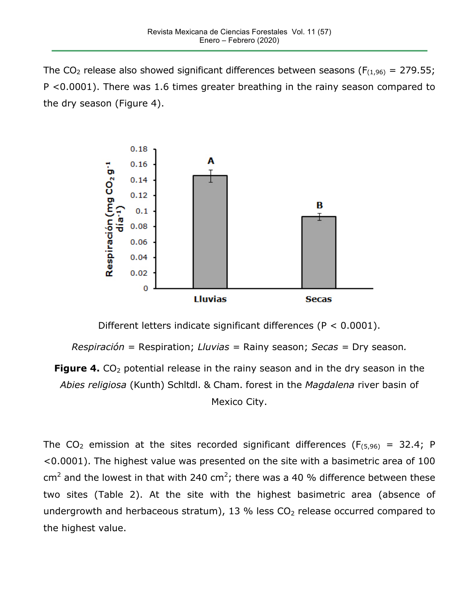The CO<sub>2</sub> release also showed significant differences between seasons ( $F_{(1,96)} = 279.55$ ; P <0.0001). There was 1.6 times greater breathing in the rainy season compared to the dry season (Figure 4).



Different letters indicate significant differences (P < 0.0001).

*Respiración* = Respiration; *Lluvias =* Rainy season; *Secas =* Dry season*.*

**Figure 4.** CO<sub>2</sub> potential release in the rainy season and in the dry season in the *Abies religiosa* (Kunth) Schltdl. & Cham. forest in the *Magdalena* river basin of Mexico City.

The CO<sub>2</sub> emission at the sites recorded significant differences ( $F_{(5,96)} = 32.4$ ; P <0.0001). The highest value was presented on the site with a basimetric area of 100 cm<sup>2</sup> and the lowest in that with 240 cm<sup>2</sup>; there was a 40 % difference between these two sites (Table 2). At the site with the highest basimetric area (absence of undergrowth and herbaceous stratum), 13 % less  $CO<sub>2</sub>$  release occurred compared to the highest value.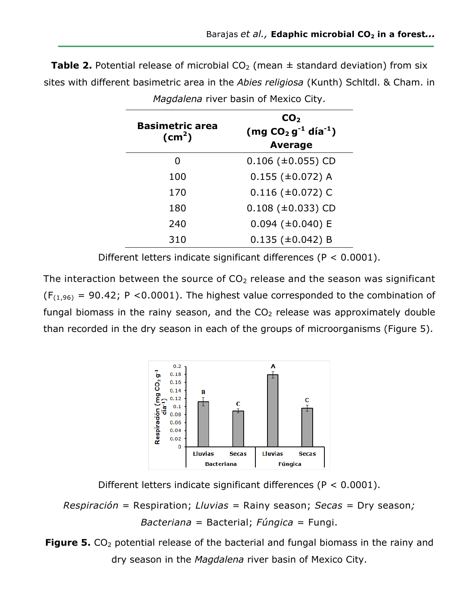| <b>Table 2.</b> Potential release of microbial $CO2$ (mean $\pm$ standard deviation) from six |  |
|-----------------------------------------------------------------------------------------------|--|
| sites with different basimetric area in the Abies religiosa (Kunth) Schltdl. & Cham. in       |  |

| <b>Basimetric area</b><br>$\text{(cm}^2)$ | CO <sub>2</sub><br>$(mg CO2 g-1 día-1)$<br><b>Average</b> |  |  |
|-------------------------------------------|-----------------------------------------------------------|--|--|
| 0                                         | $0.106$ ( $\pm 0.055$ ) CD                                |  |  |
| 100                                       | $0.155$ ( $\pm 0.072$ ) A                                 |  |  |
| 170                                       | $0.116$ (±0.072) C                                        |  |  |
| 180                                       | $0.108$ ( $\pm 0.033$ ) CD                                |  |  |
| 240                                       | $0.094$ (±0.040) E                                        |  |  |
| 310                                       | $0.135 \ (\pm 0.042) B$                                   |  |  |

*Magdalena* river basin of Mexico City.

Different letters indicate significant differences (P < 0.0001).

The interaction between the source of  $CO<sub>2</sub>$  release and the season was significant  $(F<sub>(1,96)</sub> = 90.42; P < 0.0001)$ . The highest value corresponded to the combination of fungal biomass in the rainy season, and the  $CO<sub>2</sub>$  release was approximately double than recorded in the dry season in each of the groups of microorganisms (Figure 5).



Different letters indicate significant differences (P < 0.0001).

*Respiración* = Respiration; *Lluvias =* Rainy season; *Secas =* Dry season*; Bacteriana* = Bacterial; *Fúngica* = Fungi.

**Figure 5.** CO<sub>2</sub> potential release of the bacterial and fungal biomass in the rainy and dry season in the *Magdalena* river basin of Mexico City.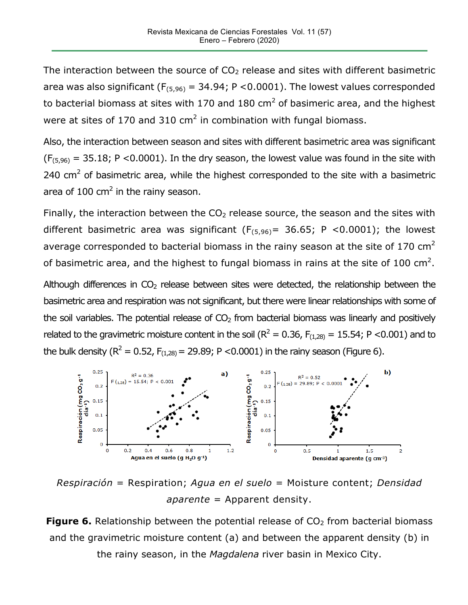The interaction between the source of  $CO<sub>2</sub>$  release and sites with different basimetric area was also significant ( $F_{(5,96)} = 34.94$ ; P < 0.0001). The lowest values corresponded to bacterial biomass at sites with 170 and 180  $\text{cm}^2$  of basimeric area, and the highest were at sites of 170 and 310  $\text{cm}^2$  in combination with fungal biomass.

Also, the interaction between season and sites with different basimetric area was significant  $(F_{(5,96)} = 35.18; P < 0.0001)$ . In the dry season, the lowest value was found in the site with 240  $\text{cm}^2$  of basimetric area, while the highest corresponded to the site with a basimetric area of 100  $\text{cm}^2$  in the rainy season.

Finally, the interaction between the  $CO<sub>2</sub>$  release source, the season and the sites with different basimetric area was significant  $(F_{(5,96)} = 36.65; P < 0.0001)$ ; the lowest average corresponded to bacterial biomass in the rainy season at the site of 170  $\text{cm}^2$ of basimetric area, and the highest to fungal biomass in rains at the site of 100 cm<sup>2</sup>.

Although differences in  $CO<sub>2</sub>$  release between sites were detected, the relationship between the basimetric area and respiration was not significant, but there were linear relationships with some of the soil variables. The potential release of  $CO<sub>2</sub>$  from bacterial biomass was linearly and positively related to the gravimetric moisture content in the soil ( $R^2 = 0.36$ ,  $F_{(1,28)} = 15.54$ ; P <0.001) and to the bulk density ( $R^2 = 0.52$ ,  $F_{(1,28)} = 29.89$ ; P <0.0001) in the rainy season (Figure 6).



*Respiración* = Respiration; *Agua en el suelo* = Moisture content; *Densidad aparente* = Apparent density.

**Figure 6.** Relationship between the potential release of  $CO<sub>2</sub>$  from bacterial biomass and the gravimetric moisture content (a) and between the apparent density (b) in the rainy season, in the *Magdalena* river basin in Mexico City.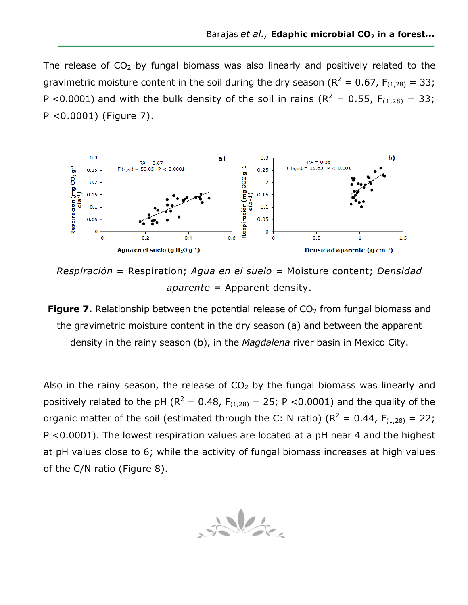The release of  $CO<sub>2</sub>$  by fungal biomass was also linearly and positively related to the gravimetric moisture content in the soil during the dry season ( $R^2 = 0.67$ ,  $F_{(1,28)} = 33$ ; P <0.0001) and with the bulk density of the soil in rains ( $R^2 = 0.55$ ,  $F_{(1,28)} = 33$ ; P <0.0001) (Figure 7).



*Respiración* = Respiration; *Agua en el suelo* = Moisture content; *Densidad aparente* = Apparent density.

**Figure 7.** Relationship between the potential release of  $CO<sub>2</sub>$  from fungal biomass and the gravimetric moisture content in the dry season (a) and between the apparent density in the rainy season (b), in the *Magdalena* river basin in Mexico City.

Also in the rainy season, the release of  $CO<sub>2</sub>$  by the fungal biomass was linearly and positively related to the pH ( $R^2 = 0.48$ ,  $F_{(1,28)} = 25$ ; P <0.0001) and the quality of the organic matter of the soil (estimated through the C: N ratio) ( $R^2 = 0.44$ ,  $F_{(1,28)} = 22$ ; P <0.0001). The lowest respiration values are located at a pH near 4 and the highest at pH values close to 6; while the activity of fungal biomass increases at high values of the C/N ratio (Figure 8).

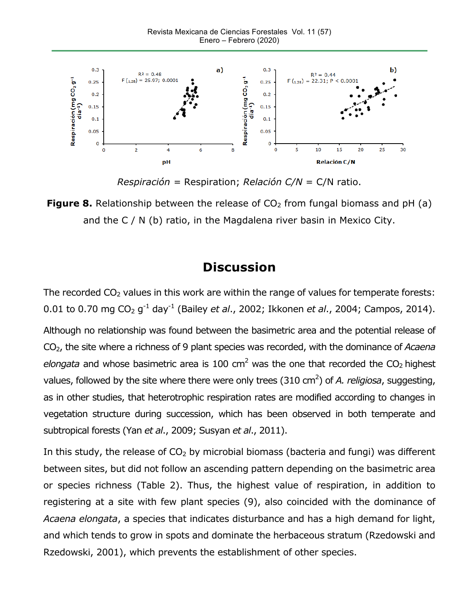

*Respiración =* Respiration; *Relación C/N* = C/N ratio.

**Figure 8.** Relationship between the release of  $CO<sub>2</sub>$  from fungal biomass and pH (a) and the C / N (b) ratio, in the Magdalena river basin in Mexico City.

## **Discussion**

The recorded  $CO<sub>2</sub>$  values in this work are within the range of values for temperate forests: 0.01 to 0.70 mg CO2 g-1 day-1 (Bailey *et al*., 2002; Ikkonen *et al*., 2004; Campos, 2014).

Although no relationship was found between the basimetric area and the potential release of CO2, the site where a richness of 9 plant species was recorded, with the dominance of *Acaena elongata* and whose basimetric area is 100 cm<sup>2</sup> was the one that recorded the  $CO<sub>2</sub>$  highest values, followed by the site where there were only trees (310 cm<sup>2</sup>) of *A. religiosa*, suggesting, as in other studies, that heterotrophic respiration rates are modified according to changes in vegetation structure during succession, which has been observed in both temperate and subtropical forests (Yan *et al*., 2009; Susyan *et al*., 2011).

In this study, the release of  $CO<sub>2</sub>$  by microbial biomass (bacteria and fungi) was different between sites, but did not follow an ascending pattern depending on the basimetric area or species richness (Table 2). Thus, the highest value of respiration, in addition to registering at a site with few plant species (9), also coincided with the dominance of *Acaena elongata*, a species that indicates disturbance and has a high demand for light, and which tends to grow in spots and dominate the herbaceous stratum (Rzedowski and Rzedowski, 2001), which prevents the establishment of other species.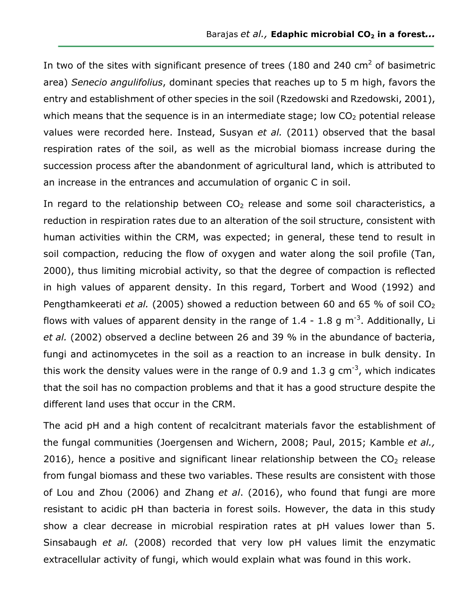In two of the sites with significant presence of trees (180 and 240  $\text{cm}^2$  of basimetric area) *Senecio angulifolius*, dominant species that reaches up to 5 m high, favors the entry and establishment of other species in the soil (Rzedowski and Rzedowski, 2001), which means that the sequence is in an intermediate stage; low  $CO<sub>2</sub>$  potential release values were recorded here. Instead, Susyan *et al.* (2011) observed that the basal respiration rates of the soil, as well as the microbial biomass increase during the succession process after the abandonment of agricultural land, which is attributed to an increase in the entrances and accumulation of organic C in soil.

In regard to the relationship between  $CO<sub>2</sub>$  release and some soil characteristics, a reduction in respiration rates due to an alteration of the soil structure, consistent with human activities within the CRM, was expected; in general, these tend to result in soil compaction, reducing the flow of oxygen and water along the soil profile (Tan, 2000), thus limiting microbial activity, so that the degree of compaction is reflected in high values of apparent density. In this regard, Torbert and Wood (1992) and Pengthamkeerati *et al.* (2005) showed a reduction between 60 and 65 % of soil CO<sub>2</sub> flows with values of apparent density in the range of 1.4 - 1.8 g m<sup>-3</sup>. Additionally, Li *et al.* (2002) observed a decline between 26 and 39 % in the abundance of bacteria, fungi and actinomycetes in the soil as a reaction to an increase in bulk density. In this work the density values were in the range of 0.9 and 1.3 g cm<sup>-3</sup>, which indicates that the soil has no compaction problems and that it has a good structure despite the different land uses that occur in the CRM.

The acid pH and a high content of recalcitrant materials favor the establishment of the fungal communities (Joergensen and Wichern, 2008; Paul, 2015; Kamble *et al.,* 2016), hence a positive and significant linear relationship between the  $CO<sub>2</sub>$  release from fungal biomass and these two variables. These results are consistent with those of Lou and Zhou (2006) and Zhang *et al*. (2016), who found that fungi are more resistant to acidic pH than bacteria in forest soils. However, the data in this study show a clear decrease in microbial respiration rates at pH values lower than 5. Sinsabaugh *et al.* (2008) recorded that very low pH values limit the enzymatic extracellular activity of fungi, which would explain what was found in this work.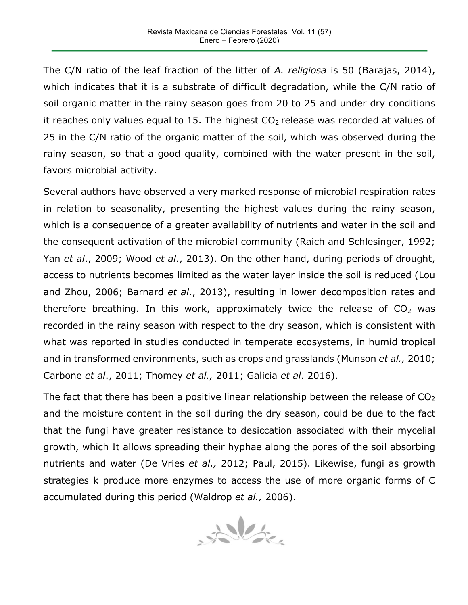The C/N ratio of the leaf fraction of the litter of *A. religiosa* is 50 (Barajas, 2014), which indicates that it is a substrate of difficult degradation, while the C/N ratio of soil organic matter in the rainy season goes from 20 to 25 and under dry conditions it reaches only values equal to 15. The highest  $CO<sub>2</sub>$  release was recorded at values of 25 in the C/N ratio of the organic matter of the soil, which was observed during the rainy season, so that a good quality, combined with the water present in the soil, favors microbial activity.

Several authors have observed a very marked response of microbial respiration rates in relation to seasonality, presenting the highest values during the rainy season, which is a consequence of a greater availability of nutrients and water in the soil and the consequent activation of the microbial community (Raich and Schlesinger, 1992; Yan *et al*., 2009; Wood *et al*., 2013). On the other hand, during periods of drought, access to nutrients becomes limited as the water layer inside the soil is reduced (Lou and Zhou, 2006; Barnard *et al*., 2013), resulting in lower decomposition rates and therefore breathing. In this work, approximately twice the release of  $CO<sub>2</sub>$  was recorded in the rainy season with respect to the dry season, which is consistent with what was reported in studies conducted in temperate ecosystems, in humid tropical and in transformed environments, such as crops and grasslands (Munson *et al.,* 2010; Carbone *et al*., 2011; Thomey *et al.,* 2011; Galicia *et al*. 2016).

The fact that there has been a positive linear relationship between the release of  $CO<sub>2</sub>$ and the moisture content in the soil during the dry season, could be due to the fact that the fungi have greater resistance to desiccation associated with their mycelial growth, which It allows spreading their hyphae along the pores of the soil absorbing nutrients and water (De Vries *et al.,* 2012; Paul, 2015). Likewise, fungi as growth strategies k produce more enzymes to access the use of more organic forms of C accumulated during this period (Waldrop *et al.,* 2006).

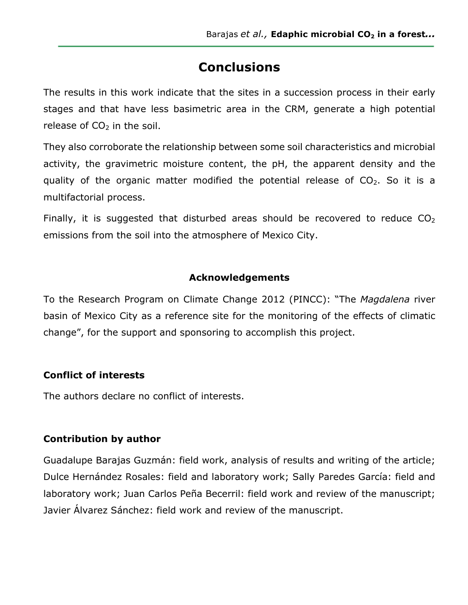# **Conclusions**

The results in this work indicate that the sites in a succession process in their early stages and that have less basimetric area in the CRM, generate a high potential release of  $CO<sub>2</sub>$  in the soil.

They also corroborate the relationship between some soil characteristics and microbial activity, the gravimetric moisture content, the pH, the apparent density and the quality of the organic matter modified the potential release of  $CO<sub>2</sub>$ . So it is a multifactorial process.

Finally, it is suggested that disturbed areas should be recovered to reduce  $CO<sub>2</sub>$ emissions from the soil into the atmosphere of Mexico City.

#### **Acknowledgements**

To the Research Program on Climate Change 2012 (PINCC): "The *Magdalena* river basin of Mexico City as a reference site for the monitoring of the effects of climatic change", for the support and sponsoring to accomplish this project.

### **Conflict of interests**

The authors declare no conflict of interests.

### **Contribution by author**

Guadalupe Barajas Guzmán: field work, analysis of results and writing of the article; Dulce Hernández Rosales: field and laboratory work; Sally Paredes García: field and laboratory work; Juan Carlos Peña Becerril: field work and review of the manuscript; Javier Álvarez Sánchez: field work and review of the manuscript.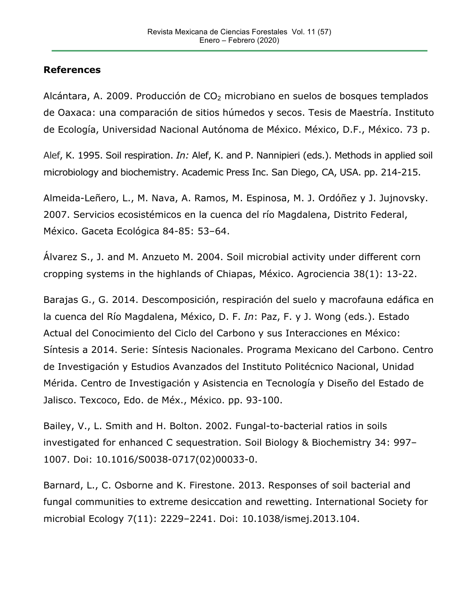#### **References**

Alcántara, A. 2009. Producción de  $CO<sub>2</sub>$  microbiano en suelos de bosques templados de Oaxaca: una comparación de sitios húmedos y secos. Tesis de Maestría. Instituto de Ecología, Universidad Nacional Autónoma de México. México, D.F., México. 73 p.

Alef, K. 1995. Soil respiration. *In:* Alef, K. and P. Nannipieri (eds.). Methods in applied soil microbiology and biochemistry. Academic Press Inc. San Diego, CA, USA. pp. 214-215.

Almeida-Leñero, L., M. Nava, A. Ramos, M. Espinosa, M. J. Ordóñez y J. Jujnovsky. 2007. Servicios ecosistémicos en la cuenca del río Magdalena, Distrito Federal, México. Gaceta Ecológica 84-85: 53–64.

Álvarez S., J. and M. Anzueto M. 2004. Soil microbial activity under different corn cropping systems in the highlands of Chiapas, México. Agrociencia 38(1): 13-22.

Barajas G., G. 2014. Descomposición, respiración del suelo y macrofauna edáfica en la cuenca del Río Magdalena, México, D. F. *In*: Paz, F. y J. Wong (eds.). Estado Actual del Conocimiento del Ciclo del Carbono y sus Interacciones en México: Síntesis a 2014. Serie: Síntesis Nacionales. Programa Mexicano del Carbono. Centro de Investigación y Estudios Avanzados del Instituto Politécnico Nacional, Unidad Mérida. Centro de Investigación y Asistencia en Tecnología y Diseño del Estado de Jalisco. Texcoco, Edo. de Méx., México. pp. 93-100.

Bailey, V., L. Smith and H. Bolton. 2002. Fungal-to-bacterial ratios in soils investigated for enhanced C sequestration. Soil Biology & Biochemistry 34: 997– 1007. Doi: 10.1016/S0038-0717(02)00033-0.

Barnard, L., C. Osborne and K. Firestone. 2013. Responses of soil bacterial and fungal communities to extreme desiccation and rewetting. International Society for microbial Ecology 7(11): 2229–2241. Doi: 10.1038/ismej.2013.104.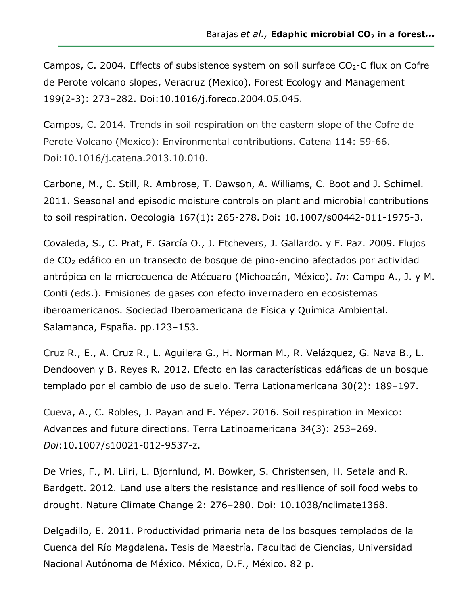Campos, C. 2004. Effects of subsistence system on soil surface  $CO<sub>2</sub>$ -C flux on Cofre de Perote volcano slopes, Veracruz (Mexico). Forest Ecology and Management 199(2-3): 273–282. Doi:10.1016/j.foreco.2004.05.045.

Campos, C. 2014. Trends in soil respiration on the eastern slope of the Cofre de Perote Volcano (Mexico): Environmental contributions. Catena 114: 59-66. Doi:10.1016/j.catena.2013.10.010.

Carbone, M., C. Still, R. Ambrose, T. Dawson, A. Williams, C. Boot and J. Schimel. 2011. Seasonal and episodic moisture controls on plant and microbial contributions to soil respiration. Oecologia 167(1): 265-278. Doi: 10.1007/s00442-011-1975-3.

Covaleda, S., C. Prat, F. García O., J. Etchevers, J. Gallardo. y F. Paz. 2009. Flujos de CO2 edáfico en un transecto de bosque de pino-encino afectados por actividad antrópica en la microcuenca de Atécuaro (Michoacán, México). *In*: Campo A., J. y M. Conti (eds.). Emisiones de gases con efecto invernadero en ecosistemas iberoamericanos. Sociedad Iberoamericana de Física y Química Ambiental. Salamanca, España. pp.123–153.

Cruz R., E., A. Cruz R., L. Aguilera G., H. Norman M., R. Velázquez, G. Nava B., L. Dendooven y B. Reyes R. 2012. Efecto en las características edáficas de un bosque templado por el cambio de uso de suelo. Terra Lationamericana 30(2): 189–197.

Cueva, A., C. Robles, J. Payan and E. Yépez. 2016. Soil respiration in Mexico: Advances and future directions. Terra Latinoamericana 34(3): 253–269. *Doi*:10.1007/s10021-012-9537-z.

De Vries, F., M. Liiri, L. Bjornlund, M. Bowker, S. Christensen, H. Setala and R. Bardgett. 2012. Land use alters the resistance and resilience of soil food webs to drought. Nature Climate Change 2: 276–280. Doi: 10.1038/nclimate1368.

Delgadillo, E. 2011. Productividad primaria neta de los bosques templados de la Cuenca del Río Magdalena. Tesis de Maestría. Facultad de Ciencias, Universidad Nacional Autónoma de México. México, D.F., México. 82 p.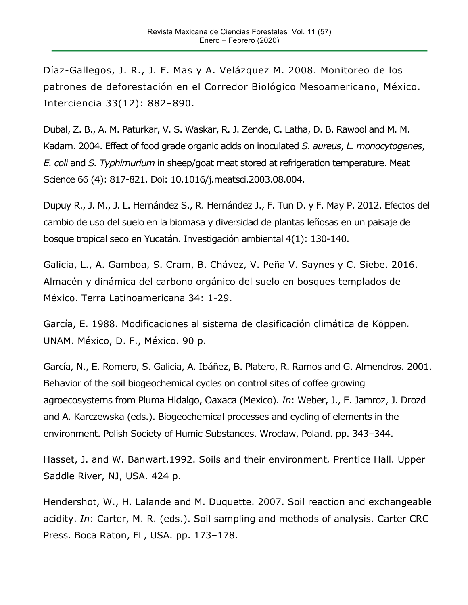Díaz-Gallegos, J. R., J. F. Mas y A. Velázquez M. 2008. Monitoreo de los patrones de deforestación en el Corredor Biológico Mesoamericano, México. Interciencia 33(12): 882–890.

Dubal, Z. B., A. M. Paturkar, V. S. Waskar, R. J. Zende, C. Latha, D. B. Rawool and M. M. Kadam. 2004. Effect of food grade organic acids on inoculated *S. aureus*, *L. monocytogenes*, *E. coli* and *S. Typhimurium* in sheep/goat meat stored at refrigeration temperature. Meat Science 66 (4): 817-821. Doi: 10.1016/j.meatsci.2003.08.004.

Dupuy R., J. M., J. L. Hernández S., R. Hernández J., F. Tun D. y F. May P. 2012. Efectos del cambio de uso del suelo en la biomasa y diversidad de plantas leñosas en un paisaje de bosque tropical seco en Yucatán. Investigación ambiental 4(1): 130-140.

Galicia, L., A. Gamboa, S. Cram, B. Chávez, V. Peña V. Saynes y C. Siebe. 2016. Almacén y dinámica del carbono orgánico del suelo en bosques templados de México. Terra Latinoamericana 34: 1-29.

García, E. 1988. Modificaciones al sistema de clasificación climática de Köppen*.*  UNAM. México, D. F., México. 90 p.

García, N., E. Romero, S. Galicia, A. Ibáñez, B. Platero, R. Ramos and G. Almendros. 2001. Behavior of the soil biogeochemical cycles on control sites of coffee growing agroecosystems from Pluma Hidalgo, Oaxaca (Mexico). *In*: Weber, J., E. Jamroz, J. Drozd and A. Karczewska (eds.). Biogeochemical processes and cycling of elements in the environment. Polish Society of Humic Substances. Wroclaw, Poland. pp. 343–344.

Hasset, J. and W. Banwart.1992. Soils and their environment*.* Prentice Hall. Upper Saddle River, NJ, USA. 424 p.

Hendershot, W., H. Lalande and M. Duquette. 2007. Soil reaction and exchangeable acidity. *In*: Carter, M. R. (eds.). Soil sampling and methods of analysis. Carter CRC Press. Boca Raton, FL, USA. pp. 173–178.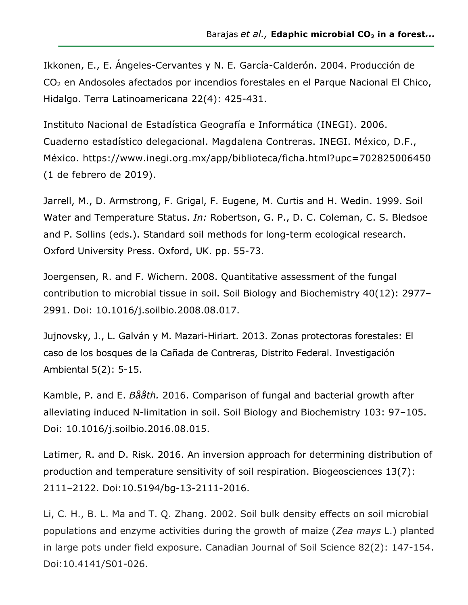Ikkonen, E., E. Ángeles-Cervantes y N. E. García-Calderón. 2004. Producción de CO2 en Andosoles afectados por incendios forestales en el Parque Nacional El Chico, Hidalgo. Terra Latinoamericana 22(4): 425-431.

Instituto Nacional de Estadística Geografía e Informática (INEGI). 2006. Cuaderno estadístico delegacional. Magdalena Contreras. INEGI. México, D.F., México. https://www.inegi.org.mx/app/biblioteca/ficha.html?upc=702825006450 (1 de febrero de 2019).

Jarrell, M., D. Armstrong, F. Grigal, F. Eugene, M. Curtis and H. Wedin. 1999. Soil Water and Temperature Status. *In:* Robertson, G. P., D. C. Coleman, C. S. Bledsoe and P. Sollins (eds.). Standard soil methods for long-term ecological research. Oxford University Press. Oxford, UK. pp. 55-73.

Joergensen, R. and F. Wichern. 2008. Quantitative assessment of the fungal contribution to microbial tissue in soil. Soil Biology and Biochemistry 40(12): 2977– 2991. Doi: 10.1016/j.soilbio.2008.08.017.

Jujnovsky, J., L. Galván y M. Mazari-Hiriart. 2013. Zonas protectoras forestales: El caso de los bosques de la Cañada de Contreras, Distrito Federal. Investigación Ambiental 5(2): 5-15.

Kamble, P. and E. *Bååth.* 2016. Comparison of fungal and bacterial growth after alleviating induced N-limitation in soil. Soil Biology and Biochemistry 103: 97–105. Doi: 10.1016/j.soilbio.2016.08.015.

Latimer, R. and D. Risk. 2016. An inversion approach for determining distribution of production and temperature sensitivity of soil respiration. Biogeosciences 13(7): 2111–2122. Doi:10.5194/bg-13-2111-2016.

Li, C. H., B. L. Ma and T. Q. Zhang. 2002. Soil bulk density effects on soil microbial populations and enzyme activities during the growth of maize (*Zea mays* L.) planted in large pots under field exposure. Canadian Journal of Soil Science 82(2): 147-154. Doi:10.4141/S01-026.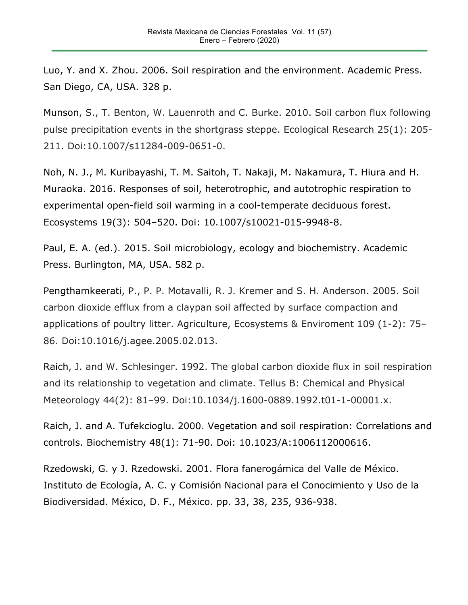Luo, Y. and X. Zhou. 2006. Soil respiration and the environment. Academic Press. San Diego, CA, USA. 328 p.

Munson, S., T. Benton, W. Lauenroth and C. Burke. 2010. Soil carbon flux following pulse precipitation events in the shortgrass steppe. Ecological Research 25(1): 205- 211. Doi:10.1007/s11284-009-0651-0.

Noh, N. J., M. Kuribayashi, T. M. Saitoh, T. Nakaji, M. Nakamura, T. Hiura and H. Muraoka. 2016. Responses of soil, heterotrophic, and autotrophic respiration to experimental open-field soil warming in a cool-temperate deciduous forest. Ecosystems 19(3): 504–520. Doi: 10.1007/s10021-015-9948-8.

Paul, E. A. (ed.). 2015. Soil microbiology, ecology and biochemistry. Academic Press. Burlington, MA, USA. 582 p.

Pengthamkeerati, P., P. P. Motavalli, R. J. Kremer and S. H. Anderson. 2005. Soil carbon dioxide efflux from a claypan soil affected by surface compaction and applications of poultry litter. Agriculture, Ecosystems & Enviroment 109 (1-2): 75– 86. Doi:10.1016/j.agee.2005.02.013.

Raich, J. and W. Schlesinger. 1992. The global carbon dioxide flux in soil respiration and its relationship to vegetation and climate. Tellus B: Chemical and Physical Meteorology 44(2): 81–99. Doi:10.1034/j.1600-0889.1992.t01-1-00001.x.

Raich, J. and A. Tufekcioglu. 2000. Vegetation and soil respiration: Correlations and controls. Biochemistry 48(1): 71-90. Doi: 10.1023/A:1006112000616.

Rzedowski, G. y J. Rzedowski. 2001. Flora fanerogámica del Valle de México. Instituto de Ecología, A. C. y Comisión Nacional para el Conocimiento y Uso de la Biodiversidad. México, D. F., México. pp. 33, 38, 235, 936-938.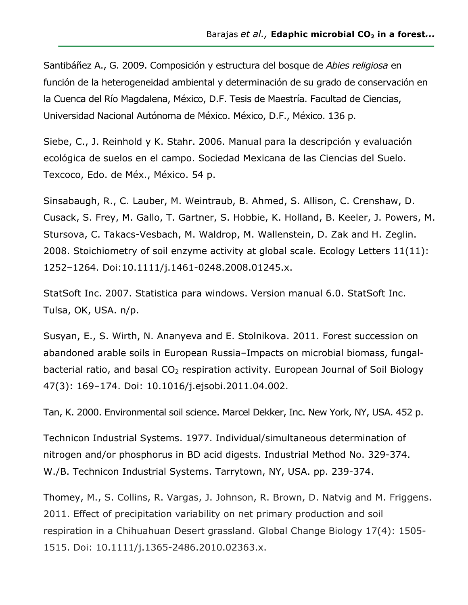Santibáñez A., G. 2009. Composición y estructura del bosque de *Abies religiosa* en función de la heterogeneidad ambiental y determinación de su grado de conservación en la Cuenca del Río Magdalena, México, D.F. Tesis de Maestría. Facultad de Ciencias, Universidad Nacional Autónoma de México. México, D.F., México. 136 p.

Siebe, C., J. Reinhold y K. Stahr. 2006. Manual para la descripción y evaluación ecológica de suelos en el campo. Sociedad Mexicana de las Ciencias del Suelo. Texcoco, Edo. de Méx., México. 54 p.

Sinsabaugh, R., C. Lauber, M. Weintraub, B. Ahmed, S. Allison, C. Crenshaw, D. Cusack, S. Frey, M. Gallo, T. Gartner, S. Hobbie, K. Holland, B. Keeler, J. Powers, M. Stursova, C. Takacs-Vesbach, M. Waldrop, M. Wallenstein, D. Zak and H. Zeglin. 2008. Stoichiometry of soil enzyme activity at global scale. Ecology Letters 11(11): 1252–1264. Doi:10.1111/j.1461-0248.2008.01245.x.

StatSoft Inc. 2007. Statistica para windows. Version manual 6.0. StatSoft Inc. Tulsa, OK, USA. n/p.

Susyan, E., S. Wirth, N. Ananyeva and E. Stolnikova. 2011. Forest succession on abandoned arable soils in European Russia–Impacts on microbial biomass, fungalbacterial ratio, and basal  $CO<sub>2</sub>$  respiration activity. European Journal of Soil Biology 47(3): 169–174. Doi: 10.1016/j.ejsobi.2011.04.002.

Tan, K. 2000. Environmental soil science. Marcel Dekker, Inc. New York, NY, USA. 452 p.

Technicon Industrial Systems. 1977. Individual/simultaneous determination of nitrogen and/or phosphorus in BD acid digests. Industrial Method No. 329-374. W./B. Technicon Industrial Systems. Tarrytown, NY, USA. pp. 239-374.

Thomey, M., S. Collins, R. Vargas, J. Johnson, R. Brown, D. Natvig and M. Friggens. 2011. Effect of precipitation variability on net primary production and soil respiration in a Chihuahuan Desert grassland. Global Change Biology 17(4): 1505- 1515. Doi: 10.1111/j.1365-2486.2010.02363.x.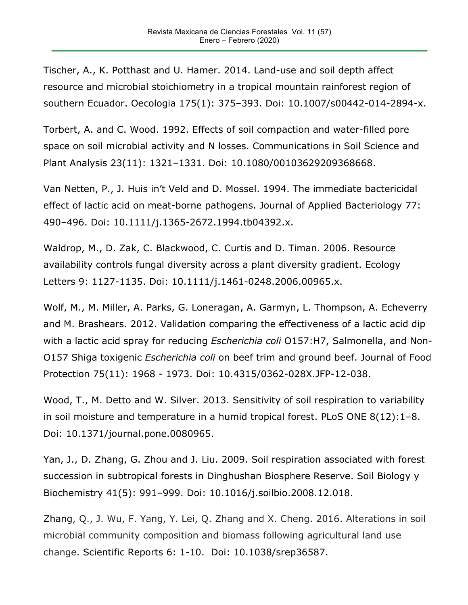Tischer, A., K. Potthast and U. Hamer. 2014. Land-use and soil depth affect resource and microbial stoichiometry in a tropical mountain rainforest region of southern Ecuador. Oecologia 175(1): 375–393. Doi: 10.1007/s00442-014-2894-x.

Torbert, A. and C. Wood. 1992. Effects of soil compaction and water-filled pore space on soil microbial activity and N losses. Communications in Soil Science and Plant Analysis 23(11): 1321–1331. Doi: 10.1080/00103629209368668.

Van Netten, P., J. Huis in't Veld and D. Mossel. 1994. The immediate bactericidal effect of lactic acid on meat-borne pathogens. Journal of Applied Bacteriology 77: 490–496. Doi: 10.1111/j.1365-2672.1994.tb04392.x.

Waldrop, M., D. Zak, C. Blackwood, C. Curtis and D. Timan. 2006. Resource availability controls fungal diversity across a plant diversity gradient. Ecology Letters 9: 1127-1135. Doi: 10.1111/j.1461-0248.2006.00965.x.

Wolf, M., M. Miller, A. Parks, G. Loneragan, A. Garmyn, L. Thompson, A. Echeverry and M. Brashears. 2012. Validation comparing the effectiveness of a lactic acid dip with a lactic acid spray for reducing *Escherichia coli* O157:H7, Salmonella, and Non-O157 Shiga toxigenic *Escherichia coli* on beef trim and ground beef. Journal of Food Protection 75(11): 1968 - 1973. Doi: 10.4315/0362-028X.JFP-12-038.

Wood, T., M. Detto and W. Silver. 2013. Sensitivity of soil respiration to variability in soil moisture and temperature in a humid tropical forest. PLoS ONE 8(12):1–8. Doi: 10.1371/journal.pone.0080965.

Yan, J., D. Zhang, G. Zhou and J. Liu. 2009. Soil respiration associated with forest succession in subtropical forests in Dinghushan Biosphere Reserve. Soil Biology y Biochemistry 41(5): 991–999. Doi: 10.1016/j.soilbio.2008.12.018.

Zhang, Q., J. Wu, F. Yang, Y. Lei, Q. Zhang and X. Cheng. 2016. Alterations in soil microbial community composition and biomass following agricultural land use change. Scientific Reports 6: 1-10. Doi: 10.1038/srep36587.